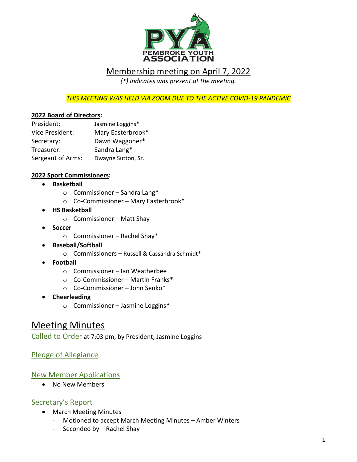

## Membership meeting on April 7, 2022

*(\*) Indicates was present at the meeting.*

*THIS MEETING WAS HELD VIA ZOOM DUE TO THE ACTIVE COVID-19 PANDEMIC*

### **2022 Board of Directors:**

| President:        | Jasmine Loggins*   |
|-------------------|--------------------|
| Vice President:   | Mary Easterbrook*  |
| Secretary:        | Dawn Waggoner*     |
| Treasurer:        | Sandra Lang*       |
| Sergeant of Arms: | Dwayne Sutton, Sr. |

#### **2022 Sport Commissioners:**

- **Basketball**
	- o Commissioner Sandra Lang\*
	- o Co-Commissioner Mary Easterbrook\*
- **HS Basketball**
	- o Commissioner Matt Shay
- **Soccer** 
	- o Commissioner Rachel Shay\*
- **Baseball/Softball** 
	- o Commissioners Russell & Cassandra Schmidt\*
- **Football**
	- o Commissioner Ian Weatherbee
	- o Co-Commissioner Martin Franks\*
	- o Co-Commissioner John Senko\*
- **Cheerleading** 
	- o Commissioner Jasmine Loggins\*

## Meeting Minutes

Called to Order at 7:03 pm, by President, Jasmine Loggins

Pledge of Allegiance

### New Member Applications

• No New Members

### Secretary's Report

- March Meeting Minutes
	- Motioned to accept March Meeting Minutes Amber Winters
	- Seconded by Rachel Shay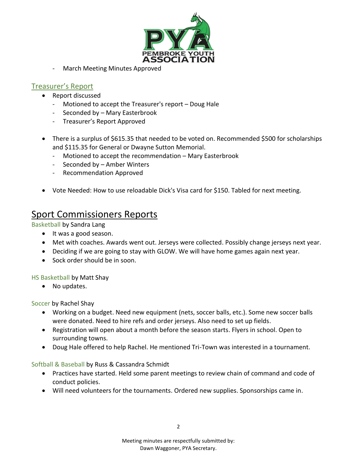

March Meeting Minutes Approved

### Treasurer's Report

- Report discussed
	- Motioned to accept the Treasurer's report Doug Hale
	- Seconded by Mary Easterbrook
	- Treasurer's Report Approved
- There is a surplus of \$615.35 that needed to be voted on. Recommended \$500 for scholarships and \$115.35 for General or Dwayne Sutton Memorial.
	- Motioned to accept the recommendation Mary Easterbrook
	- Seconded by Amber Winters
	- Recommendation Approved
- Vote Needed: How to use reloadable Dick's Visa card for \$150. Tabled for next meeting.

## Sport Commissioners Reports

Basketball by Sandra Lang

- It was a good season.
- Met with coaches. Awards went out. Jerseys were collected. Possibly change jerseys next year.
- Deciding if we are going to stay with GLOW. We will have home games again next year.
- Sock order should be in soon.

HS Basketball by Matt Shay

• No updates.

Soccer by Rachel Shay

- Working on a budget. Need new equipment (nets, soccer balls, etc.). Some new soccer balls were donated. Need to hire refs and order jerseys. Also need to set up fields.
- Registration will open about a month before the season starts. Flyers in school. Open to surrounding towns.
- Doug Hale offered to help Rachel. He mentioned Tri-Town was interested in a tournament.

Softball & Baseball by Russ & Cassandra Schmidt

- Practices have started. Held some parent meetings to review chain of command and code of conduct policies.
- Will need volunteers for the tournaments. Ordered new supplies. Sponsorships came in.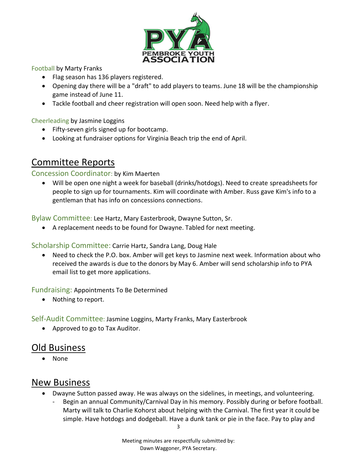

Football by Marty Franks

- Flag season has 136 players registered.
- Opening day there will be a "draft" to add players to teams. June 18 will be the championship game instead of June 11.
- Tackle football and cheer registration will open soon. Need help with a flyer.

Cheerleading by Jasmine Loggins

- Fifty-seven girls signed up for bootcamp.
- Looking at fundraiser options for Virginia Beach trip the end of April.

# Committee Reports

### Concession Coordinator: by Kim Maerten

• Will be open one night a week for baseball (drinks/hotdogs). Need to create spreadsheets for people to sign up for tournaments. Kim will coordinate with Amber. Russ gave Kim's info to a gentleman that has info on concessions connections.

Bylaw Committee: Lee Hartz, Mary Easterbrook, Dwayne Sutton, Sr.

• A replacement needs to be found for Dwayne. Tabled for next meeting.

Scholarship Committee: Carrie Hartz, Sandra Lang, Doug Hale

• Need to check the P.O. box. Amber will get keys to Jasmine next week. Information about who received the awards is due to the donors by May 6. Amber will send scholarship info to PYA email list to get more applications.

Fundraising: Appointments To Be Determined

• Nothing to report.

Self-Audit Committee: Jasmine Loggins, Marty Franks, Mary Easterbrook

• Approved to go to Tax Auditor.

## Old Business

• None

## New Business

- Dwayne Sutton passed away. He was always on the sidelines, in meetings, and volunteering.
	- Begin an annual Community/Carnival Day in his memory. Possibly during or before football. Marty will talk to Charlie Kohorst about helping with the Carnival. The first year it could be simple. Have hotdogs and dodgeball. Have a dunk tank or pie in the face. Pay to play and